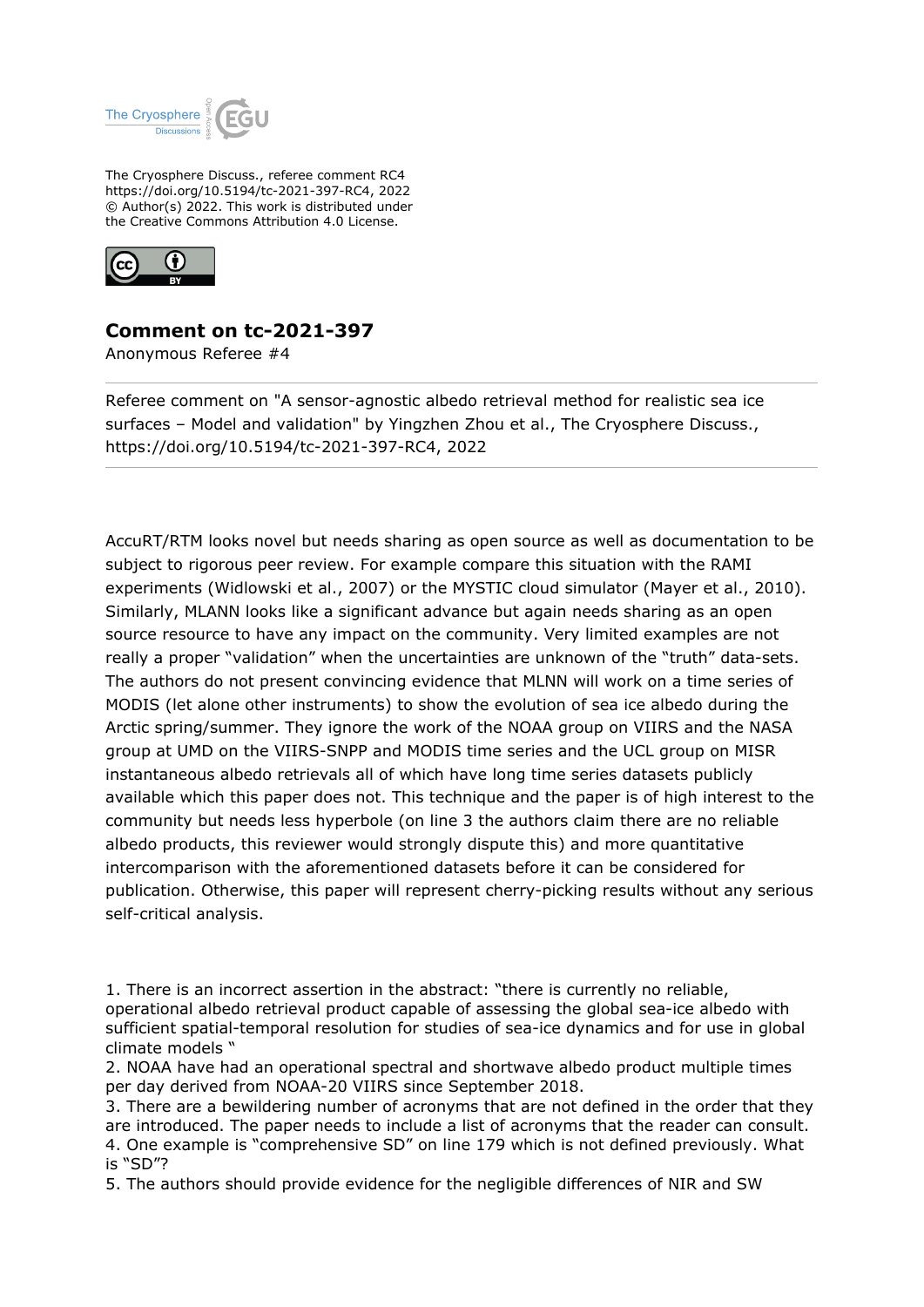

The Cryosphere Discuss., referee comment RC4 https://doi.org/10.5194/tc-2021-397-RC4, 2022 © Author(s) 2022. This work is distributed under the Creative Commons Attribution 4.0 License.



## **Comment on tc-2021-397**

Anonymous Referee #4

Referee comment on "A sensor-agnostic albedo retrieval method for realistic sea ice surfaces – Model and validation" by Yingzhen Zhou et al., The Cryosphere Discuss., https://doi.org/10.5194/tc-2021-397-RC4, 2022

AccuRT/RTM looks novel but needs sharing as open source as well as documentation to be subject to rigorous peer review. For example compare this situation with the RAMI experiments (Widlowski et al., 2007) or the MYSTIC cloud simulator (Mayer et al., 2010). Similarly, MLANN looks like a significant advance but again needs sharing as an open source resource to have any impact on the community. Very limited examples are not really a proper "validation" when the uncertainties are unknown of the "truth" data-sets. The authors do not present convincing evidence that MLNN will work on a time series of MODIS (let alone other instruments) to show the evolution of sea ice albedo during the Arctic spring/summer. They ignore the work of the NOAA group on VIIRS and the NASA group at UMD on the VIIRS-SNPP and MODIS time series and the UCL group on MISR instantaneous albedo retrievals all of which have long time series datasets publicly available which this paper does not. This technique and the paper is of high interest to the community but needs less hyperbole (on line 3 the authors claim there are no reliable albedo products, this reviewer would strongly dispute this) and more quantitative intercomparison with the aforementioned datasets before it can be considered for publication. Otherwise, this paper will represent cherry-picking results without any serious self-critical analysis.

- 1. There is an incorrect assertion in the abstract: "there is currently no reliable, operational albedo retrieval product capable of assessing the global sea-ice albedo with sufficient spatial-temporal resolution for studies of sea-ice dynamics and for use in global climate models "
- 2. NOAA have had an operational spectral and shortwave albedo product multiple times per day derived from NOAA-20 VIIRS since September 2018.
- 3. There are a bewildering number of acronyms that are not defined in the order that they are introduced. The paper needs to include a list of acronyms that the reader can consult. 4. One example is "comprehensive SD" on line 179 which is not defined previously. What is "SD"?

5. The authors should provide evidence for the negligible differences of NIR and SW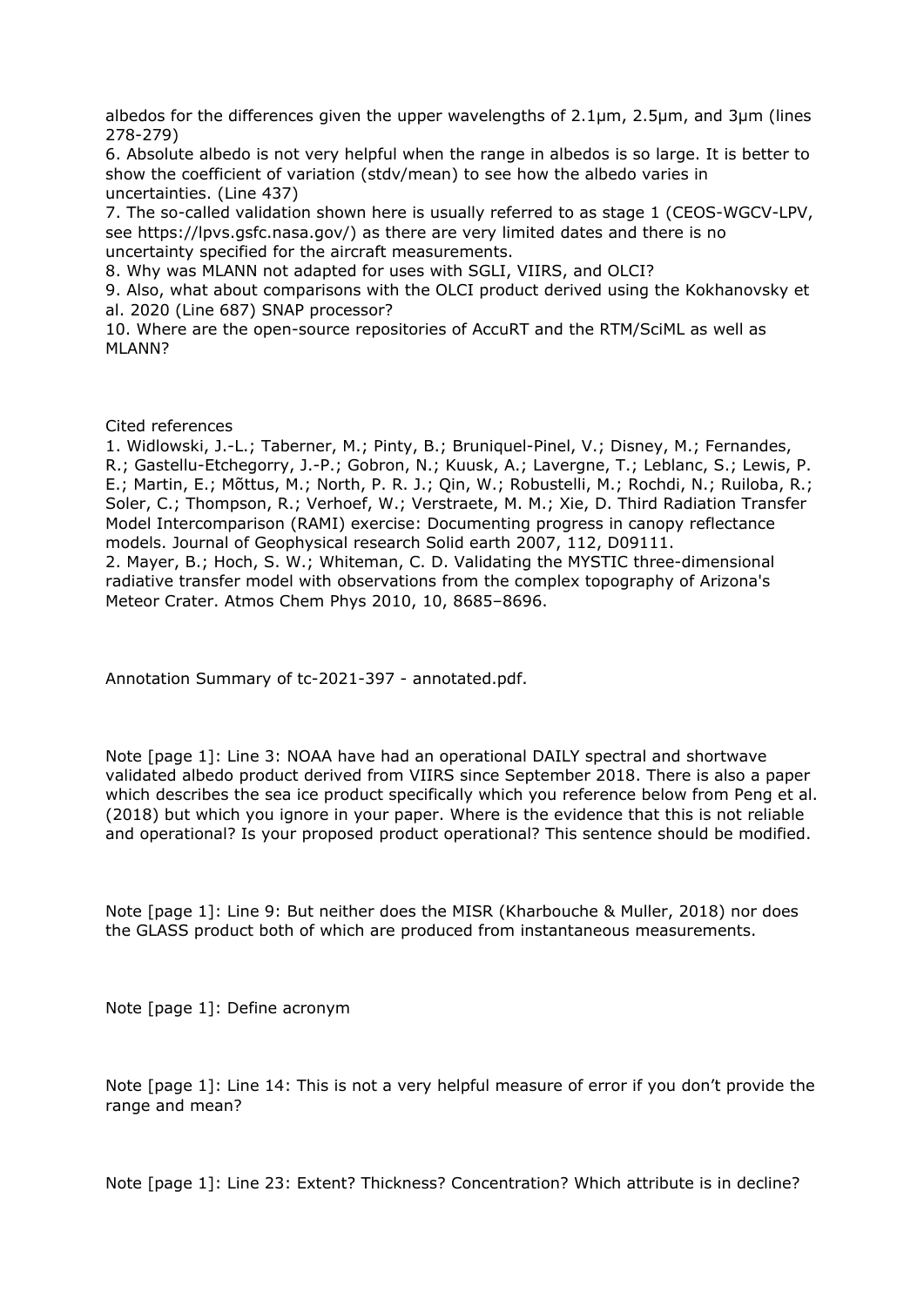albedos for the differences given the upper wavelengths of 2.1µm, 2.5µm, and 3µm (lines 278-279)

6. Absolute albedo is not very helpful when the range in albedos is so large. It is better to show the coefficient of variation (stdv/mean) to see how the albedo varies in uncertainties. (Line 437)

7. The so-called validation shown here is usually referred to as stage 1 (CEOS-WGCV-LPV, see https://lpvs.gsfc.nasa.gov/) as there are very limited dates and there is no uncertainty specified for the aircraft measurements.

8. Why was MLANN not adapted for uses with SGLI, VIIRS, and OLCI?

9. Also, what about comparisons with the OLCI product derived using the Kokhanovsky et al. 2020 (Line 687) SNAP processor?

10. Where are the open-source repositories of AccuRT and the RTM/SciML as well as MLANN?

Cited references

1. Widlowski, J.-L.; Taberner, M.; Pinty, B.; Bruniquel-Pinel, V.; Disney, M.; Fernandes, R.; Gastellu-Etchegorry, J.-P.; Gobron, N.; Kuusk, A.; Lavergne, T.; Leblanc, S.; Lewis, P. E.; Martin, E.; Mõttus, M.; North, P. R. J.; Qin, W.; Robustelli, M.; Rochdi, N.; Ruiloba, R.; Soler, C.; Thompson, R.; Verhoef, W.; Verstraete, M. M.; Xie, D. Third Radiation Transfer Model Intercomparison (RAMI) exercise: Documenting progress in canopy reflectance models. Journal of Geophysical research Solid earth 2007, 112, D09111. 2. Mayer, B.; Hoch, S. W.; Whiteman, C. D. Validating the MYSTIC three-dimensional radiative transfer model with observations from the complex topography of Arizona's

Meteor Crater. Atmos Chem Phys 2010, 10, 8685–8696.

Annotation Summary of tc-2021-397 - annotated.pdf.

Note [page 1]: Line 3: NOAA have had an operational DAILY spectral and shortwave validated albedo product derived from VIIRS since September 2018. There is also a paper which describes the sea ice product specifically which you reference below from Peng et al. (2018) but which you ignore in your paper. Where is the evidence that this is not reliable and operational? Is your proposed product operational? This sentence should be modified.

Note [page 1]: Line 9: But neither does the MISR (Kharbouche & Muller, 2018) nor does the GLASS product both of which are produced from instantaneous measurements.

Note [page 1]: Define acronym

Note [page 1]: Line 14: This is not a very helpful measure of error if you don't provide the range and mean?

Note [page 1]: Line 23: Extent? Thickness? Concentration? Which attribute is in decline?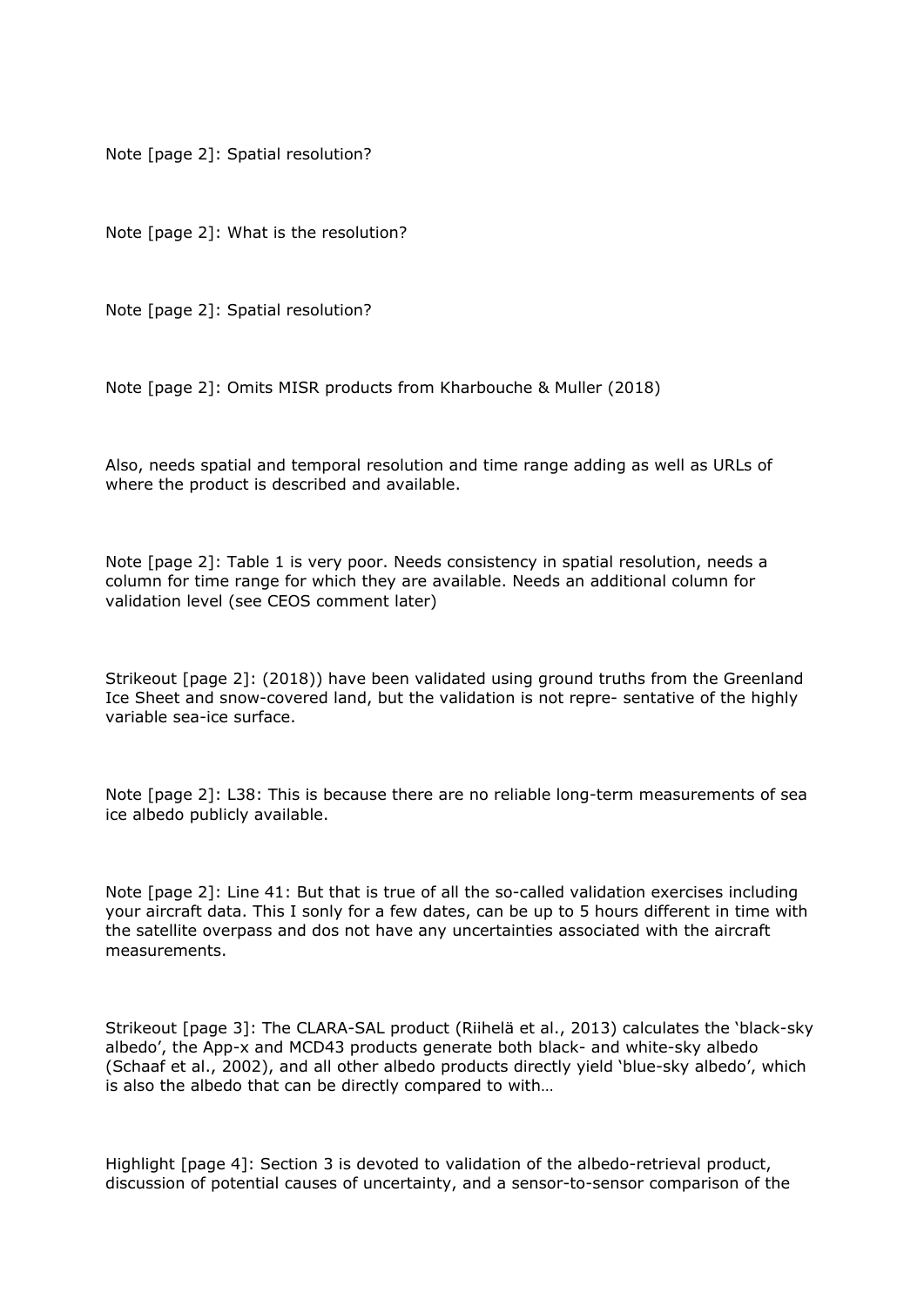Note [page 2]: Spatial resolution?

Note [page 2]: What is the resolution?

Note [page 2]: Spatial resolution?

Note [page 2]: Omits MISR products from Kharbouche & Muller (2018)

Also, needs spatial and temporal resolution and time range adding as well as URLs of where the product is described and available.

Note [page 2]: Table 1 is very poor. Needs consistency in spatial resolution, needs a column for time range for which they are available. Needs an additional column for validation level (see CEOS comment later)

Strikeout [page 2]: (2018)) have been validated using ground truths from the Greenland Ice Sheet and snow-covered land, but the validation is not repre- sentative of the highly variable sea-ice surface.

Note [page 2]: L38: This is because there are no reliable long-term measurements of sea ice albedo publicly available.

Note [page 2]: Line 41: But that is true of all the so-called validation exercises including your aircraft data. This I sonly for a few dates, can be up to 5 hours different in time with the satellite overpass and dos not have any uncertainties associated with the aircraft measurements.

Strikeout [page 3]: The CLARA-SAL product (Riihelä et al., 2013) calculates the 'black-sky albedo', the App-x and MCD43 products generate both black- and white-sky albedo (Schaaf et al., 2002), and all other albedo products directly yield 'blue-sky albedo', which is also the albedo that can be directly compared to with…

Highlight [page 4]: Section 3 is devoted to validation of the albedo-retrieval product, discussion of potential causes of uncertainty, and a sensor-to-sensor comparison of the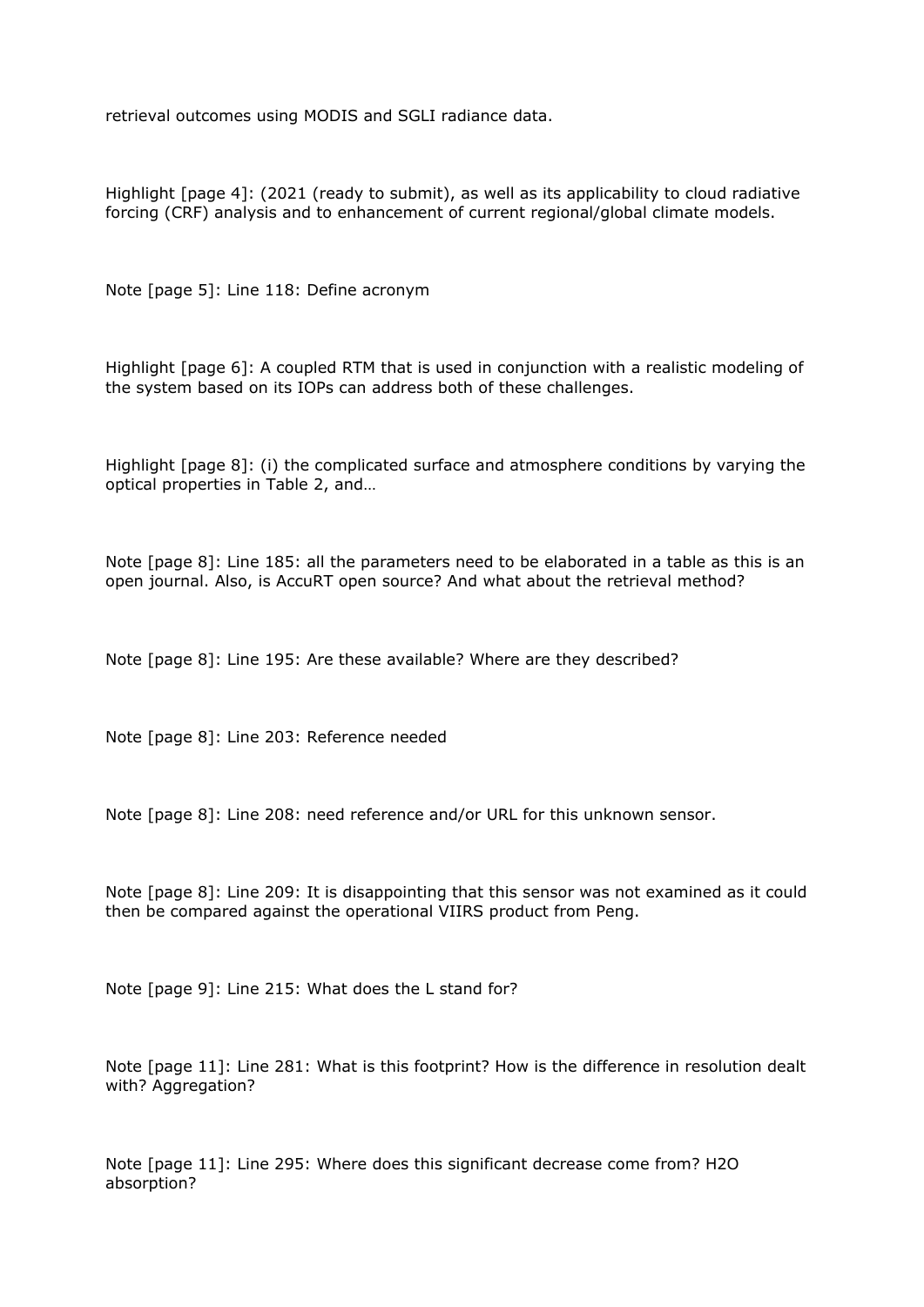retrieval outcomes using MODIS and SGLI radiance data.

Highlight [page 4]: (2021 (ready to submit), as well as its applicability to cloud radiative forcing (CRF) analysis and to enhancement of current regional/global climate models.

Note [page 5]: Line 118: Define acronym

Highlight [page 6]: A coupled RTM that is used in conjunction with a realistic modeling of the system based on its IOPs can address both of these challenges.

Highlight [page 8]: (i) the complicated surface and atmosphere conditions by varying the optical properties in Table 2, and…

Note [page 8]: Line 185: all the parameters need to be elaborated in a table as this is an open journal. Also, is AccuRT open source? And what about the retrieval method?

Note [page 8]: Line 195: Are these available? Where are they described?

Note [page 8]: Line 203: Reference needed

Note [page 8]: Line 208: need reference and/or URL for this unknown sensor.

Note [page 8]: Line 209: It is disappointing that this sensor was not examined as it could then be compared against the operational VIIRS product from Peng.

Note [page 9]: Line 215: What does the L stand for?

Note [page 11]: Line 281: What is this footprint? How is the difference in resolution dealt with? Aggregation?

Note [page 11]: Line 295: Where does this significant decrease come from? H2O absorption?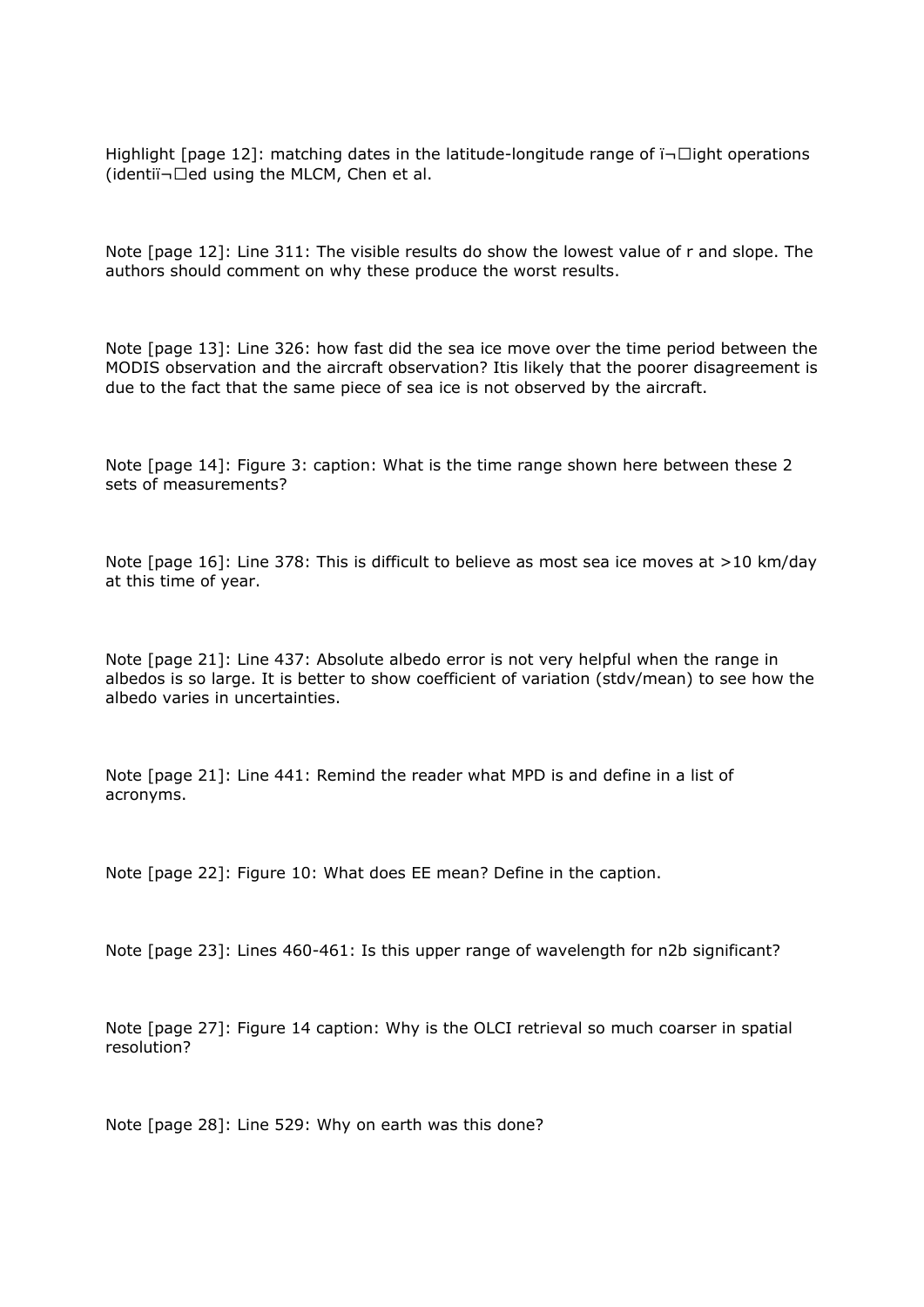Highlight [page 12]: matching dates in the latitude-longitude range of  $\overline{\mathsf{in}}$  dight operations (identi $\overline{\mathbf{u}}$ -Ded using the MLCM, Chen et al.

Note [page 12]: Line 311: The visible results do show the lowest value of r and slope. The authors should comment on why these produce the worst results.

Note [page 13]: Line 326: how fast did the sea ice move over the time period between the MODIS observation and the aircraft observation? Itis likely that the poorer disagreement is due to the fact that the same piece of sea ice is not observed by the aircraft.

Note [page 14]: Figure 3: caption: What is the time range shown here between these 2 sets of measurements?

Note [page 16]: Line 378: This is difficult to believe as most sea ice moves at >10 km/day at this time of year.

Note [page 21]: Line 437: Absolute albedo error is not very helpful when the range in albedos is so large. It is better to show coefficient of variation (stdv/mean) to see how the albedo varies in uncertainties.

Note [page 21]: Line 441: Remind the reader what MPD is and define in a list of acronyms.

Note [page 22]: Figure 10: What does EE mean? Define in the caption.

Note [page 23]: Lines 460-461: Is this upper range of wavelength for n2b significant?

Note [page 27]: Figure 14 caption: Why is the OLCI retrieval so much coarser in spatial resolution?

Note [page 28]: Line 529: Why on earth was this done?